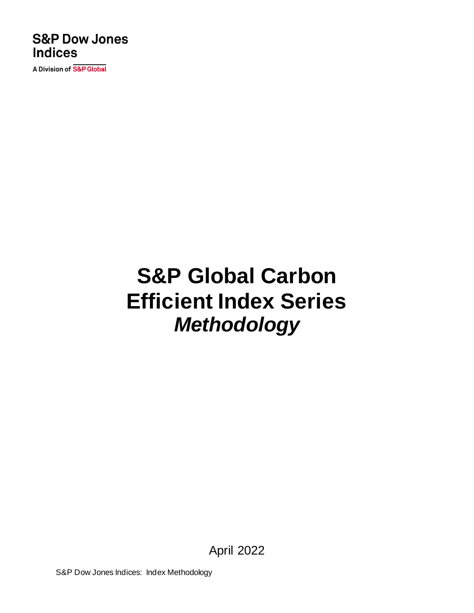## **S&P Dow Jones** Indices

A Division of S&P Global

# **S&P Global Carbon Efficient Index Series** *Methodology*

April 2022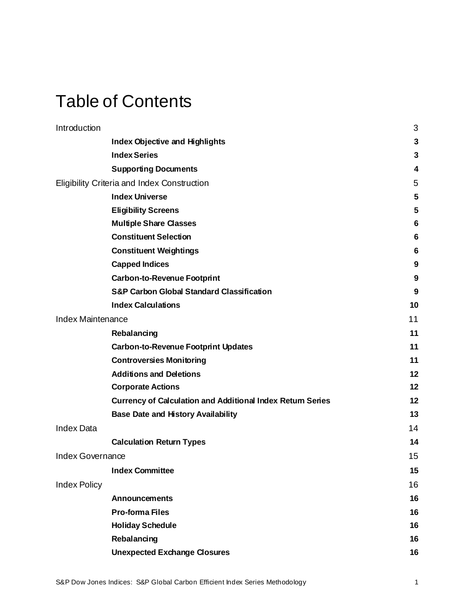## Table of Contents

| Introduction             |                                                                   | 3  |
|--------------------------|-------------------------------------------------------------------|----|
|                          | Index Objective and Highlights                                    | 3  |
|                          | <b>Index Series</b>                                               | 3  |
|                          | <b>Supporting Documents</b>                                       | 4  |
|                          | Eligibility Criteria and Index Construction                       | 5  |
|                          | <b>Index Universe</b>                                             | 5  |
|                          | <b>Eligibility Screens</b>                                        | 5  |
|                          | <b>Multiple Share Classes</b>                                     | 6  |
|                          | <b>Constituent Selection</b>                                      | 6  |
|                          | <b>Constituent Weightings</b>                                     | 6  |
|                          | <b>Capped Indices</b>                                             | 9  |
|                          | <b>Carbon-to-Revenue Footprint</b>                                | 9  |
|                          | <b>S&amp;P Carbon Global Standard Classification</b>              | 9  |
|                          | <b>Index Calculations</b>                                         | 10 |
| <b>Index Maintenance</b> |                                                                   | 11 |
|                          | Rebalancing                                                       | 11 |
|                          | <b>Carbon-to-Revenue Footprint Updates</b>                        | 11 |
|                          | <b>Controversies Monitoring</b>                                   | 11 |
|                          | <b>Additions and Deletions</b>                                    | 12 |
|                          | <b>Corporate Actions</b>                                          | 12 |
|                          | <b>Currency of Calculation and Additional Index Return Series</b> | 12 |
|                          | <b>Base Date and History Availability</b>                         | 13 |
| <b>Index Data</b>        |                                                                   | 14 |
|                          | <b>Calculation Return Types</b>                                   | 14 |
| Index Governance         |                                                                   | 15 |
|                          | <b>Index Committee</b>                                            | 15 |
| <b>Index Policy</b>      |                                                                   | 16 |
|                          | <b>Announcements</b>                                              | 16 |
|                          | <b>Pro-forma Files</b>                                            | 16 |
|                          | <b>Holiday Schedule</b>                                           | 16 |
|                          | Rebalancing                                                       | 16 |
|                          | <b>Unexpected Exchange Closures</b>                               | 16 |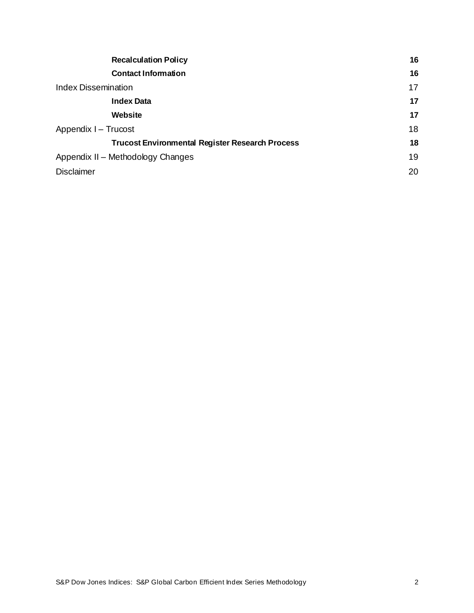| <b>Recalculation Policy</b>                            | 16 |
|--------------------------------------------------------|----|
| <b>Contact Information</b>                             | 16 |
| <b>Index Dissemination</b>                             | 17 |
| <b>Index Data</b>                                      | 17 |
| Website                                                | 17 |
| Appendix I - Trucost                                   | 18 |
| <b>Trucost Environmental Register Research Process</b> | 18 |
| Appendix II - Methodology Changes                      | 19 |
| <b>Disclaimer</b>                                      | 20 |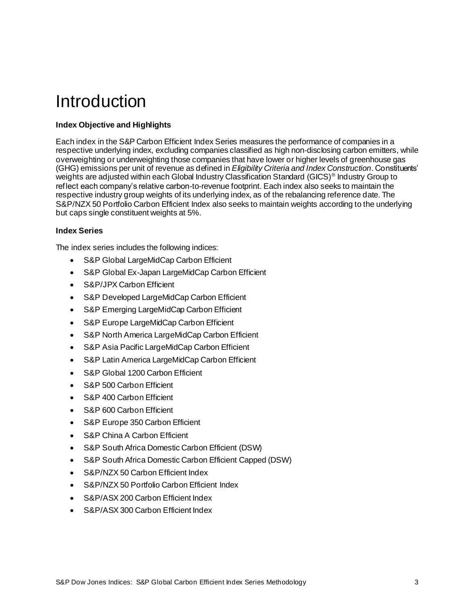## <span id="page-3-0"></span>Introduction

## <span id="page-3-1"></span>**Index Objective and Highlights**

Each index in the S&P Carbon Efficient Index Series measures the performance of companies in a respective underlying index, excluding companies classified as high non-disclosing carbon emitters, while overweighting or underweighting those companies that have lower or higher levels of greenhouse gas (GHG) emissions per unit of revenue as defined in *Eligibility Criteria and Index Construction*. Constituents' weights are adjusted within each Global Industry Classification Standard (GICS)® Industry Group to reflect each company's relative carbon-to-revenue footprint. Each index also seeks to maintain the respective industry group weights of its underlying index, as of the rebalancing reference date. The S&P/NZX 50 Portfolio Carbon Efficient Index also seeks to maintain weights according to the underlying but caps single constituent weights at 5%.

## <span id="page-3-2"></span>**Index Series**

The index series includes the following indices:

- S&P Global LargeMidCap Carbon Efficient
- S&P Global Ex-Japan LargeMidCap Carbon Efficient
- S&P/JPX Carbon Efficient
- S&P Developed LargeMidCap Carbon Efficient
- S&P Emerging LargeMidCap Carbon Efficient
- S&P Europe LargeMidCap Carbon Efficient
- S&P North America LargeMidCap Carbon Efficient
- S&P Asia Pacific LargeMidCap Carbon Efficient
- S&P Latin America LargeMidCap Carbon Efficient
- S&P Global 1200 Carbon Efficient
- S&P 500 Carbon Efficient
- S&P 400 Carbon Efficient
- S&P 600 Carbon Efficient
- S&P Europe 350 Carbon Efficient
- S&P China A Carbon Efficient
- S&P South Africa Domestic Carbon Efficient (DSW)
- S&P South Africa Domestic Carbon Efficient Capped (DSW)
- S&P/NZX 50 Carbon Efficient Index
- S&P/NZX 50 Portfolio Carbon Efficient Index
- S&P/ASX 200 Carbon Efficient Index
- S&P/ASX 300 Carbon Efficient Index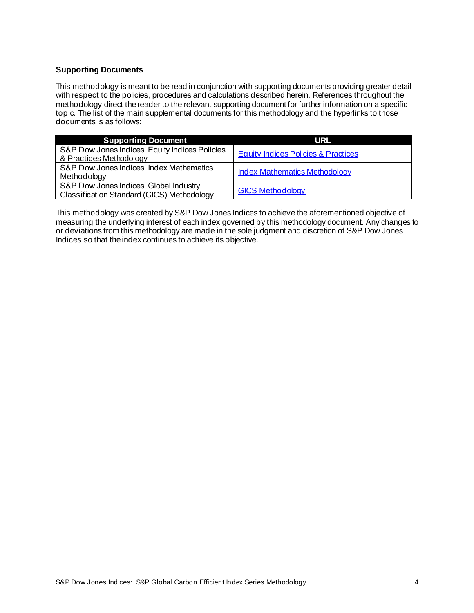## <span id="page-4-0"></span>**Supporting Documents**

This methodology is meant to be read in conjunction with supporting documents providing greater detail with respect to the policies, procedures and calculations described herein. References throughout the methodology direct the reader to the relevant supporting document for further information on a specific topic. The list of the main supplemental documents for this methodology and the hyperlinks to those documents is as follows:

| <b>Supporting Document</b>                                                           | URL                                            |
|--------------------------------------------------------------------------------------|------------------------------------------------|
| S&P Dow Jones Indices' Equity Indices Policies<br>& Practices Methodology            | <b>Equity Indices Policies &amp; Practices</b> |
| S&P Dow Jones Indices' Index Mathematics<br>Methodology                              | <b>Index Mathematics Methodology</b>           |
| S&P Dow Jones Indices' Global Industry<br>Classification Standard (GICS) Methodology | <b>GICS Methodology</b>                        |

This methodology was created by S&P Dow Jones Indices to achieve the aforementioned objective of measuring the underlying interest of each index governed by this methodology document. Any changes to or deviations from this methodology are made in the sole judgment and discretion of S&P Dow Jones Indices so that the index continues to achieve its objective.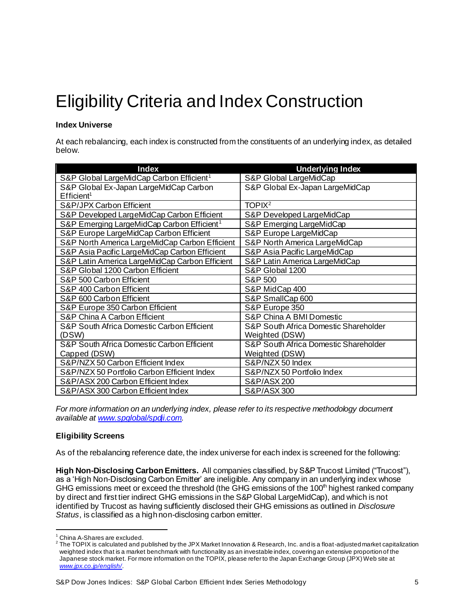## <span id="page-5-0"></span>Eligibility Criteria and Index Construction

## <span id="page-5-1"></span>**Index Universe**

At each rebalancing, each index is constructed from the constituents of an underlying index, as detailed below.

| <b>Index</b>                                           | <b>Underlying Index</b>               |
|--------------------------------------------------------|---------------------------------------|
| S&P Global LargeMidCap Carbon Efficient <sup>1</sup>   | S&P Global LargeMidCap                |
| S&P Global Ex-Japan LargeMidCap Carbon                 | S&P Global Ex-Japan LargeMidCap       |
| Efficient <sup>1</sup>                                 |                                       |
| S&P/JPX Carbon Efficient                               | TOPIX <sup>2</sup>                    |
| S&P Developed LargeMidCap Carbon Efficient             | S&P Developed LargeMidCap             |
| S&P Emerging LargeMidCap Carbon Efficient <sup>1</sup> | S&P Emerging LargeMidCap              |
| S&P Europe LargeMidCap Carbon Efficient                | S&P Europe LargeMidCap                |
| S&P North America LargeMidCap Carbon Efficient         | S&P North America LargeMidCap         |
| S&P Asia Pacific LargeMidCap Carbon Efficient          | S&P Asia Pacific LargeMidCap          |
| S&P Latin America LargeMidCap Carbon Efficient         | S&P Latin America LargeMidCap         |
| S&P Global 1200 Carbon Efficient                       | S&P Global 1200                       |
| S&P 500 Carbon Efficient                               | S&P 500                               |
| S&P 400 Carbon Efficient                               | S&P MidCap 400                        |
| S&P 600 Carbon Efficient                               | S&P SmallCap 600                      |
| S&P Europe 350 Carbon Efficient                        | S&P Europe 350                        |
| S&P China A Carbon Efficient                           | S&P China A BMI Domestic              |
| S&P South Africa Domestic Carbon Efficient             | S&P South Africa Domestic Shareholder |
| (DSW)                                                  | Weighted (DSW)                        |
| S&P South Africa Domestic Carbon Efficient             | S&P South Africa Domestic Shareholder |
| Capped (DSW)                                           | Weighted (DSW)                        |
| S&P/NZX 50 Carbon Efficient Index                      | S&P/NZX 50 Index                      |
| S&P/NZX 50 Portfolio Carbon Efficient Index            | S&P/NZX 50 Portfolio Index            |
| S&P/ASX 200 Carbon Efficient Index                     | S&P/ASX 200                           |
| S&P/ASX 300 Carbon Efficient Index                     | S&P/ASX 300                           |

*For more information on an underlying index, please refer to its respective methodology document available a[t www.spglobal/spdji.com](http://www.spdji.com/).*

## <span id="page-5-2"></span>**Eligibility Screens**

As of the rebalancing reference date, the index universe for each index is screened for the following:

**High Non-Disclosing Carbon Emitters.** All companies classified, by S&P Trucost Limited ("Trucost"), as a 'High Non-Disclosing Carbon Emitter' are ineligible. Any company in an underlying index whose GHG emissions meet or exceed the threshold (the GHG emissions of the 100<sup>th</sup> highest ranked company by direct and first tier indirect GHG emissions in the S&P Global LargeMidCap), and which is not identified by Trucost as having sufficiently disclosed their GHG emissions as outlined in *Disclosure Status*, is classified as a high non-disclosing carbon emitter.

 $<sup>1</sup>$  China A-Shares are excluded.</sup>

 $^2$  The TOPIX is calculated and published by the JPX Market Innovation & Research, Inc. and is a float-adjusted market capitalization weighted index that is a market benchmark with functionality as an investable index, covering an extensive proportion of the Japanese stock market. For more information on the TOPIX, please refer to the Japan Exchange Group (JPX) Web site at *[www.jpx.co.jp/english/](file://///ny01fil504/share$/IndexServices/Marshall/www.jpx.co.jp/english/)*.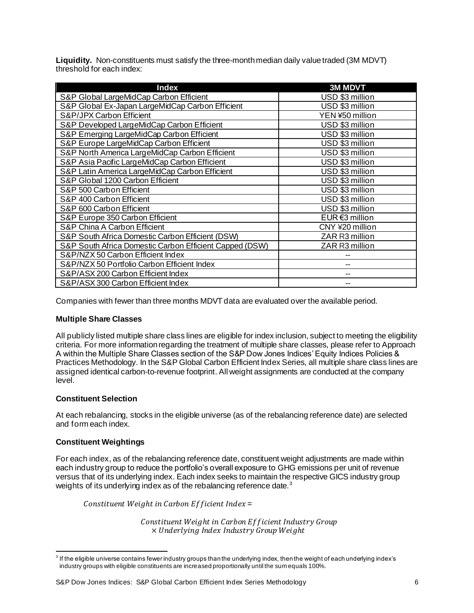**Liquidity.** Non-constituents must satisfy the three-month median daily value traded (3M MDVT) threshold for each index:

| <b>Index</b>                                            | <b>3M MDVT</b>   |
|---------------------------------------------------------|------------------|
| S&P Global LargeMidCap Carbon Efficient                 | USD \$3 million  |
| S&P Global Ex-Japan LargeMidCap Carbon Efficient        | USD \$3 million  |
| S&P/JPX Carbon Efficient                                | YEN ¥50 million  |
| S&P Developed LargeMidCap Carbon Efficient              | USD \$3 million  |
| S&P Emerging LargeMidCap Carbon Efficient               | USD \$3 million  |
| S&P Europe LargeMidCap Carbon Efficient                 | USD \$3 million  |
| S&P North America LargeMidCap Carbon Efficient          | USD \$3 million  |
| S&P Asia Pacific LargeMidCap Carbon Efficient           | USD \$3 million  |
| S&P Latin America LargeMidCap Carbon Efficient          | USD \$3 million  |
| S&P Global 1200 Carbon Efficient                        | USD \$3 million  |
| S&P 500 Carbon Efficient                                | USD \$3 million  |
| S&P 400 Carbon Efficient                                | USD \$3 million  |
| S&P 600 Carbon Efficient                                | USD \$3 million  |
| S&P Europe 350 Carbon Efficient                         | EUR $€3$ million |
| S&P China A Carbon Efficient                            | CNY ¥20 million  |
| S&P South Africa Domestic Carbon Efficient (DSW)        | ZAR R3 million   |
| S&P South Africa Domestic Carbon Efficient Capped (DSW) | ZAR R3 million   |
| S&P/NZX 50 Carbon Efficient Index                       |                  |
| S&P/NZX 50 Portfolio Carbon Efficient Index             |                  |
| S&P/ASX 200 Carbon Efficient Index                      |                  |
| S&P/ASX 300 Carbon Efficient Index                      | --               |

<span id="page-6-0"></span>Companies with fewer than three months MDVT data are evaluated over the available period.

## **Multiple Share Classes**

All publicly listed multiple share class lines are eligible for index inclusion, subject to meeting the eligibility criteria. For more information regarding the treatment of multiple share classes, please refer to Approach A within the Multiple Share Classes section of the S&P Dow Jones Indices' Equity Indices Policies & Practices Methodology. In the S&P Global Carbon Efficient Index Series, all multiple share class lines are assigned identical carbon-to-revenue footprint. All weight assignments are conducted at the company level.

## <span id="page-6-1"></span>**Constituent Selection**

At each rebalancing, stocks in the eligible universe (as of the rebalancing reference date) are selected and form each index.

## <span id="page-6-2"></span>**Constituent Weightings**

For each index, as of the rebalancing reference date, constituent weight adjustments are made within each industry group to reduce the portfolio's overall exposure to GHG emissions per unit of revenue versus that of its underlying index. Each index seeks to maintain the respective GICS industry group weights of its underlying index as of the rebalancing reference date.<sup>3</sup>

Constituent Weight in Carbon Efficient Index =

Constituent Weight in Carbon Efficient Industry Group  $\times$  Underlying Index Industry Group Weight

 $^3$  If the eligible universe contains fewer industry groups than the underlying index, then the weight of each underlying index's industry groups with eligible constituents are increased proportionally until the sum equals 100%.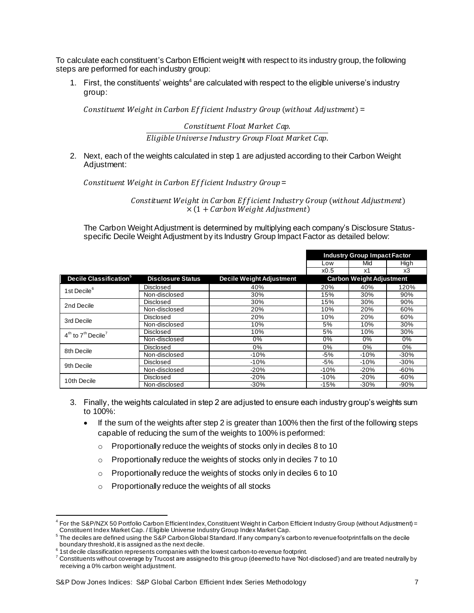To calculate each constituent's Carbon Efficient weight with respect to its industry group, the following steps are performed for each industry group:

1. First, the constituents' weights<sup>4</sup> are calculated with respect to the eligible universe's industry group:

Constituent Weight in Carbon Efficient Industry Group (without Adjustment) =

Constituent Float Market Cap. Eligible Universe Industry Group Float Market Cap.

2. Next, each of the weights calculated in step 1 are adjusted according to their Carbon Weight Adjustment:

Constituent Weight in Carbon Efficient Industry Group =

Constituent Weight in Carbon Efficient Industry Group (without Adjustment)  $\times$  (1 + Carbon Weight Adjustment)

The Carbon Weight Adjustment is determined by multiplying each company's Disclosure Statusspecific Decile Weight Adjustment by its Industry Group Impact Factor as detailed below:

|                                    |                          |                                 |        | <b>Industry Group Impact Factor</b> |         |
|------------------------------------|--------------------------|---------------------------------|--------|-------------------------------------|---------|
|                                    |                          |                                 | Low    | Mid                                 | High    |
|                                    |                          |                                 | x0.5   | x1                                  | x3      |
| Decile Classification <sup>5</sup> | <b>Disclosure Status</b> | <b>Decile Weight Adjustment</b> |        | <b>Carbon Weight Adjustment</b>     |         |
| 1st Decile <sup>6</sup>            | Disclosed                | 40%                             | 20%    | 40%                                 | 120%    |
|                                    | Non-disclosed            | 30%                             | 15%    | 30%                                 | 90%     |
| 2nd Decile                         | Disclosed                | 30%                             | 15%    | 30%                                 | 90%     |
|                                    | Non-disclosed            | 20%                             | 10%    | 20%                                 | 60%     |
| 3rd Decile                         | Disclosed                | 20%                             | 10%    | 20%                                 | 60%     |
|                                    | Non-disclosed            | 10%                             | 5%     | 10%                                 | 30%     |
| $4th$ to $7th$ Decile <sup>7</sup> | Disclosed                | 10%                             | 5%     | 10%                                 | 30%     |
|                                    | Non-disclosed            | 0%                              | 0%     | 0%                                  | 0%      |
| 8th Decile                         | Disclosed                | 0%                              | 0%     | 0%                                  | 0%      |
|                                    | Non-disclosed            | $-10%$                          | -5%    | $-10%$                              | $-30\%$ |
| 9th Decile                         | Disclosed                | $-10%$                          | -5%    | $-10%$                              | $-30\%$ |
|                                    | Non-disclosed            | -20%                            | -10%   | $-20%$                              | -60%    |
| 10th Decile                        | Disclosed                | -20%                            | $-10%$ | $-20%$                              | -60%    |
|                                    | Non-disclosed            | $-30%$                          | $-15%$ | $-30%$                              | $-90%$  |

- 3. Finally, the weights calculated in step 2 are adjusted to ensure each industry group's weights sum to 100%:
	- If the sum of the weights after step 2 is greater than 100% then the first of the following steps capable of reducing the sum of the weights to 100% is performed:
		- o Proportionally reduce the weights of stocks only in deciles 8 to 10
		- o Proportionally reduce the weights of stocks only in deciles 7 to 10
		- o Proportionally reduce the weights of stocks only in deciles 6 to 10
		- o Proportionally reduce the weights of all stocks

<sup>4</sup> For the S&P/NZX 50 Portfolio Carbon Efficient Index, Constituent Weight in Carbon Efficient Industry Group (without Adjustment) = Constituent Index Market Cap. / Eligible Universe Industry Group Index Market Cap.

 $^5$  The deciles are defined using the S&P Carbon Global Standard. If any company's carbon to revenue footprintfalls on the decile boundary threshold, it is assigned as the next decile.

<sup>6</sup> 1st decile classification represents companies with the lowest carbon-to-revenue footprint.

 $\frac{7}{7}$  Constituents without coverage by Trucost are assigned to this group (deemed to have 'Not-disclosed') and are treated neutrally by receiving a 0% carbon weight adjustment.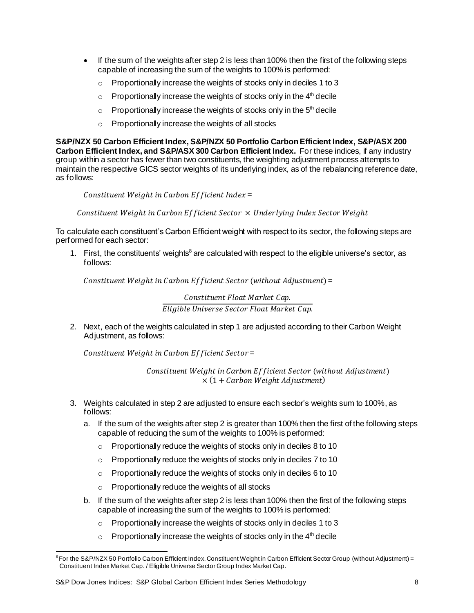- If the sum of the weights after step 2 is less than 100% then the first of the following steps capable of increasing the sum of the weights to 100% is performed:
	- o Proportionally increase the weights of stocks only in deciles 1 to 3
	- $\circ$  Proportionally increase the weights of stocks only in the 4<sup>th</sup> decile
	- $\circ$  Proportionally increase the weights of stocks only in the 5<sup>th</sup> decile
	- o Proportionally increase the weights of all stocks

**S&P/NZX 50 Carbon Efficient Index, S&P/NZX 50 Portfolio Carbon Efficient Index, S&P/ASX 200 Carbon Efficient Index, and S&P/ASX 300 Carbon Efficient Index.** For these indices, if any industry group within a sector has fewer than two constituents, the weighting adjustment process attempts to maintain the respective GICS sector weights of its underlying index, as of the rebalancing reference date, as follows:

Constituent Weight in Carbon Efficient Index =

Constituent Weight in Carbon Efficient Sector  $\times$  Underlying Index Sector Weight

To calculate each constituent's Carbon Efficient weight with respect to its sector, the following steps are performed for each sector:

1. First, the constituents' weights<sup>8</sup> are calculated with respect to the eligible universe's sector, as follows:

Constituent Weight in Carbon Efficient Sector (without Adjustment) =

Constituent Float Market Cap. Eligible Universe Sector Float Market Cap.

2. Next, each of the weights calculated in step 1 are adjusted according to their Carbon Weight Adjustment, as follows:

Constituent Weight in Carbon Efficient Sector =

Constituent Weight in Carbon Efficient Sector (without Adjustment)  $\times$  (1 + Carbon Weight Adjustment)

- 3. Weights calculated in step 2 are adjusted to ensure each sector's weights sum to 100%, as follows:
	- a. If the sum of the weights after step 2 is greater than 100% then the first of the following steps capable of reducing the sum of the weights to 100% is performed:
		- o Proportionally reduce the weights of stocks only in deciles 8 to 10
		- o Proportionally reduce the weights of stocks only in deciles 7 to 10
		- o Proportionally reduce the weights of stocks only in deciles 6 to 10
		- o Proportionally reduce the weights of all stocks
	- b. If the sum of the weights after step 2 is less than 100% then the first of the following steps capable of increasing the sum of the weights to 100% is performed:
		- o Proportionally increase the weights of stocks only in deciles 1 to 3
		- $\circ$  Proportionally increase the weights of stocks only in the 4<sup>th</sup> decile

<sup>&</sup>lt;sup>8</sup> For the S&P/NZX 50 Portfolio Carbon Efficient Index, Constituent Weight in Carbon Efficient Sector Group (without Adjustment) = Constituent Index Market Cap. / Eligible Universe Sector Group Index Market Cap.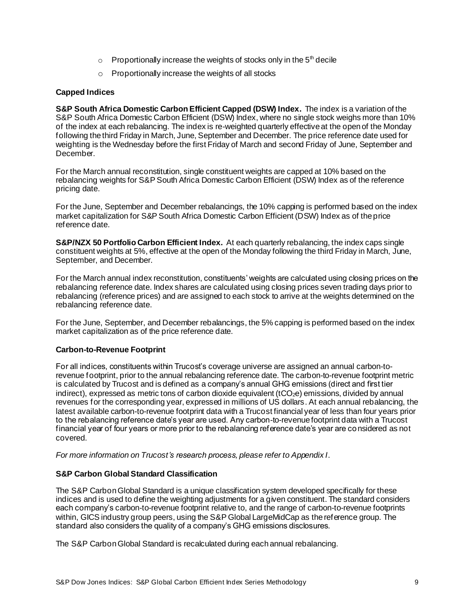- $\circ$  Proportionally increase the weights of stocks only in the 5<sup>th</sup> decile
- o Proportionally increase the weights of all stocks

## <span id="page-9-0"></span>**Capped Indices**

**S&P South Africa Domestic Carbon Efficient Capped (DSW) Index.** The index is a variation of the S&P South Africa Domestic Carbon Efficient (DSW) Index, where no single stock weighs more than 10% of the index at each rebalancing. The index is re-weighted quarterly effective at the open of the Monday following the third Friday in March, June, September and December. The price reference date used for weighting is the Wednesday before the first Friday of March and second Friday of June, September and December.

For the March annual reconstitution, single constituent weights are capped at 10% based on the rebalancing weights for S&P South Africa Domestic Carbon Efficient (DSW) Index as of the reference pricing date.

For the June, September and December rebalancings, the 10% capping is performed based on the index market capitalization for S&P South Africa Domestic Carbon Efficient (DSW) Index as of the price reference date.

**S&P/NZX 50 Portfolio Carbon Efficient Index.** At each quarterly rebalancing, the index caps single constituent weights at 5%, effective at the open of the Monday following the third Friday in March, June, September, and December.

For the March annual index reconstitution, constituents' weights are calculated using closing prices on the rebalancing reference date. Index shares are calculated using closing prices seven trading days prior to rebalancing (reference prices) and are assigned to each stock to arrive at the weights determined on the rebalancing reference date.

For the June, September, and December rebalancings, the 5% capping is performed based on the index market capitalization as of the price reference date.

## <span id="page-9-1"></span>**Carbon-to-Revenue Footprint**

For all indices, constituents within Trucost's coverage universe are assigned an annual carbon-torevenue footprint, prior to the annual rebalancing reference date. The carbon-to-revenue footprint metric is calculated by Trucost and is defined as a company's annual GHG emissions (direct and first tier indirect), expressed as metric tons of carbon dioxide equivalent (tCO<sub>2</sub>e) emissions, divided by annual revenues for the corresponding year, expressed in millions of US dollars. At each annual rebalancing, the latest available carbon-to-revenue footprint data with a Trucost financial year of less than four years prior to the rebalancing reference date's year are used. Any carbon-to-revenue footprint data with a Trucost financial year of four years or more prior to the rebalancing reference date's year are considered as not covered.

<span id="page-9-2"></span>*For more information on Trucost's research process, please refer to Appendix I*.

## **S&P Carbon Global Standard Classification**

The S&P Carbon Global Standard is a unique classification system developed specifically for these indices and is used to define the weighting adjustments for a given constituent. The standard considers each company's carbon-to-revenue footprint relative to, and the range of carbon-to-revenue footprints within, GICS industry group peers, using the S&P Global LargeMidCap as the reference group. The standard also considers the quality of a company's GHG emissions disclosures.

The S&P Carbon Global Standard is recalculated during each annual rebalancing.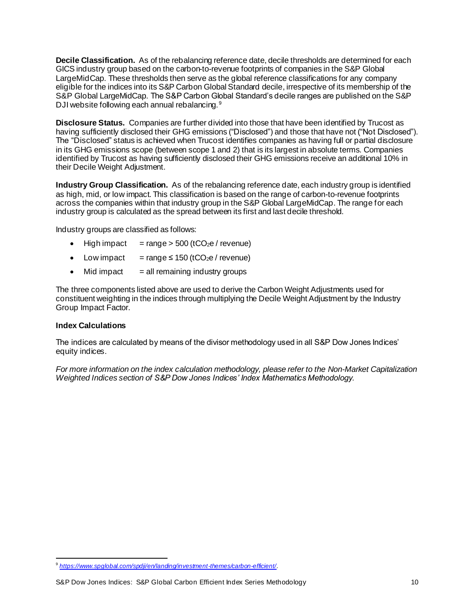**Decile Classification.** As of the rebalancing reference date, decile thresholds are determined for each GICS industry group based on the carbon-to-revenue footprints of companies in the S&P Global LargeMidCap. These thresholds then serve as the global reference classifications for any company eligible for the indices into its S&P Carbon Global Standard decile, irrespective of its membership of the S&P Global LargeMidCap. The S&P Carbon Global Standard's decile ranges are published on the S&P DJI website following each annual rebalancing.<sup>9</sup>

**Disclosure Status.** Companies are further divided into those that have been identified by Trucost as having sufficiently disclosed their GHG emissions ("Disclosed") and those that have not ("Not Disclosed"). The "Disclosed" status is achieved when Trucost identifies companies as having full or partial disclosure in its GHG emissions scope (between scope 1 and 2) that is its largest in absolute terms. Companies identified by Trucost as having sufficiently disclosed their GHG emissions receive an additional 10% in their Decile Weight Adjustment.

**Industry Group Classification.** As of the rebalancing reference date, each industry group is identified as high, mid, or low impact. This classification is based on the range of carbon-to-revenue footprints across the companies within that industry group in the S&P Global LargeMidCap. The range for each industry group is calculated as the spread between its first and last decile threshold.

Industry groups are classified as follows:

- High impact  $=$  range  $>$  500 (tCO<sub>2</sub>e / revenue)
- Low impact  $=$  range  $\leq$  150 (tCO<sub>2</sub>e / revenue)
- Mid impact  $=$  all remaining industry groups

The three components listed above are used to derive the Carbon Weight Adjustments used for constituent weighting in the indices through multiplying the Decile Weight Adjustment by the Industry Group Impact Factor.

### <span id="page-10-0"></span>**Index Calculations**

The indices are calculated by means of the divisor methodology used in all S&P Dow Jones Indices' equity indices.

*For more information on the index calculation methodology, please refer to the Non-Market Capitalization Weighted Indices section of S&P Dow Jones Indices' Index Mathematics Methodology.*

<sup>9</sup> *<https://www.spglobal.com/spdji/en/landing/investment-themes/carbon-efficient/>*.

S&P Dow Jones Indices: S&P Global Carbon Efficient Index Series Methodology entitled and the SAP Global Carbon Efficient Index Series Methodology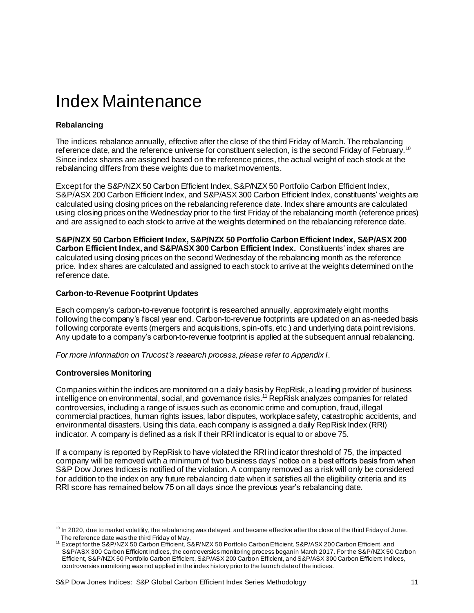## <span id="page-11-0"></span>Index Maintenance

## <span id="page-11-1"></span>**Rebalancing**

The indices rebalance annually, effective after the close of the third Friday of March. The rebalancing reference date, and the reference universe for constituent selection, is the second Friday of February.<sup>10</sup> Since index shares are assigned based on the reference prices, the actual weight of each stock at the rebalancing differs from these weights due to market movements.

Except for the S&P/NZX 50 Carbon Efficient Index, S&P/NZX 50 Portfolio Carbon Efficient Index, S&P/ASX 200 Carbon Efficient Index, and S&P/ASX 300 Carbon Efficient Index, constituents' weights are calculated using closing prices on the rebalancing reference date. Index share amounts are calculated using closing prices on the Wednesday prior to the first Friday of the rebalancing month (reference prices) and are assigned to each stock to arrive at the weights determined on the rebalancing reference date.

**S&P/NZX 50 Carbon Efficient Index, S&P/NZX 50 Portfolio Carbon Efficient Index, S&P/ASX 200 Carbon Efficient Index, and S&P/ASX 300 Carbon Efficient Index.** Constituents' index shares are calculated using closing prices on the second Wednesday of the rebalancing month as the reference price. Index shares are calculated and assigned to each stock to arrive at the weights determined on the reference date.

## <span id="page-11-2"></span>**Carbon-to-Revenue Footprint Updates**

Each company's carbon-to-revenue footprint is researched annually, approximately eight months following the company's fiscal year end. Carbon-to-revenue footprints are updated on an as-needed basis following corporate events (mergers and acquisitions, spin-offs, etc.) and underlying data point revisions. Any update to a company's carbon-to-revenue footprint is applied at the subsequent annual rebalancing.

<span id="page-11-3"></span>*For more information on Trucost's research process, please refer to Appendix I*.

## **Controversies Monitoring**

Companies within the indices are monitored on a daily basis by RepRisk, a leading provider of business intelligence on environmental, social, and governance risks.<sup>11</sup> RepRisk analyzes companies for related controversies, including a range of issues such as economic crime and corruption, fraud, illegal commercial practices, human rights issues, labor disputes, workplace safety, catastrophic accidents, and environmental disasters. Using this data, each company is assigned a daily RepRisk Index (RRI) indicator. A company is defined as a risk if their RRI indicator is equal to or above 75.

If a company is reported by RepRisk to have violated the RRI indicator threshold of 75, the impacted company will be removed with a minimum of two business days' notice on a best efforts basis from when S&P Dow Jones Indices is notified of the violation. A company removed as a risk will only be considered for addition to the index on any future rebalancing date when it satisfies all the eligibility criteria and its RRI score has remained below 75 on all days since the previous year's rebalancing date.

 $10$  In 2020, due to market volatility, the rebalancing was delayed, and became effective after the close of the third Friday of June.

The reference date was the third Friday of May.<br><sup>11</sup> Except for the S&P/NZX 50 Carbon Efficient, S&P/NZX 50 Portfolio Carbon Efficient, S&P/ASX 200 Carbon Efficient, and S&P/ASX 300 Carbon Efficient Indices, the controversies monitoring process began in March 2017. For the S&P/NZX 50 Carbon Efficient, S&P/NZX 50 Portfolio Carbon Efficient, S&P/ASX 200 Carbon Efficient, and S&P/ASX 300 Carbon Efficient Indices, controversies monitoring was not applied in the index history prior to the launch date of the indices.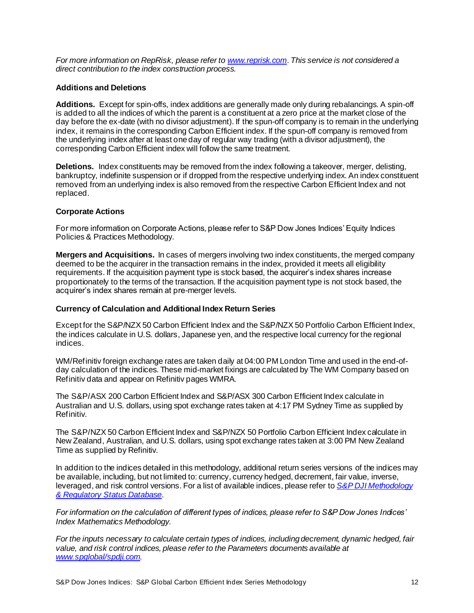*For more information on RepRisk, please refer to [www.reprisk.com](http://www.reprisk.com/)*. *This service is not considered a direct contribution to the index construction process.*

### <span id="page-12-0"></span>**Additions and Deletions**

**Additions.** Except for spin-offs, index additions are generally made only during rebalancings. A spin-off is added to all the indices of which the parent is a constituent at a zero price at the market close of the day before the ex-date (with no divisor adjustment). If the spun-off company is to remain in the underlying index, it remains in the corresponding Carbon Efficient index. If the spun-off company is removed from the underlying index after at least one day of regular way trading (with a divisor adjustment), the corresponding Carbon Efficient index will follow the same treatment.

**Deletions.** Index constituents may be removed from the index following a takeover, merger, delisting, bankruptcy, indefinite suspension or if dropped from the respective underlying index. An index constituent removed from an underlying index is also removed from the respective Carbon Efficient Index and not replaced.

## <span id="page-12-1"></span>**Corporate Actions**

For more information on Corporate Actions, please refer to S&P Dow Jones Indices' Equity Indices Policies & Practices Methodology.

**Mergers and Acquisitions.** In cases of mergers involving two index constituents, the merged company deemed to be the acquirer in the transaction remains in the index, provided it meets all eligibility requirements. If the acquisition payment type is stock based, the acquirer's index shares increase proportionately to the terms of the transaction. If the acquisition payment type is not stock based, the acquirer's index shares remain at pre-merger levels.

### <span id="page-12-2"></span>**Currency of Calculation and Additional Index Return Series**

Except for the S&P/NZX 50 Carbon Efficient Index and the S&P/NZX 50 Portfolio Carbon Efficient Index, the indices calculate in U.S. dollars, Japanese yen, and the respective local currency for the regional indices.

WM/Refinitiv foreign exchange rates are taken daily at 04:00 PM London Time and used in the end-ofday calculation of the indices. These mid-market fixings are calculated by The WM Company based on Refinitiv data and appear on Refinitiv pages WMRA.

The S&P/ASX 200 Carbon Efficient Index and S&P/ASX 300 Carbon Efficient Index calculate in Australian and U.S. dollars, using spot exchange rates taken at 4:17 PM Sydney Time as supplied by Refinitiv.

The S&P/NZX 50 Carbon Efficient Index and S&P/NZX 50 Portfolio Carbon Efficient Index calculate in New Zealand, Australian, and U.S. dollars, using spot exchange rates taken at 3:00 PM New Zealand Time as supplied by Refinitiv.

In addition to the indices detailed in this methodology, additional return series versions of the indices may be available, including, but not limited to: currency, currency hedged, decrement, fair value, inverse, leveraged, and risk control versions. For a list of available indices, please refer to *[S&P DJI Methodology](https://www.spglobal.com/spdji/en/governance/methodology-and-regulatory-status/)  [& Regulatory Status Database](https://www.spglobal.com/spdji/en/governance/methodology-and-regulatory-status/)*.

*For information on the calculation of different types of indices, please refer to S&P Dow Jones Indices' Index Mathematics Methodology.*

*For the inputs necessary to calculate certain types of indices, including decrement, dynamic hedged, fair value, and risk control indices, please refer to the Parameters documents available at [www.spglobal/spdji.com](http://www.spdji.com/).*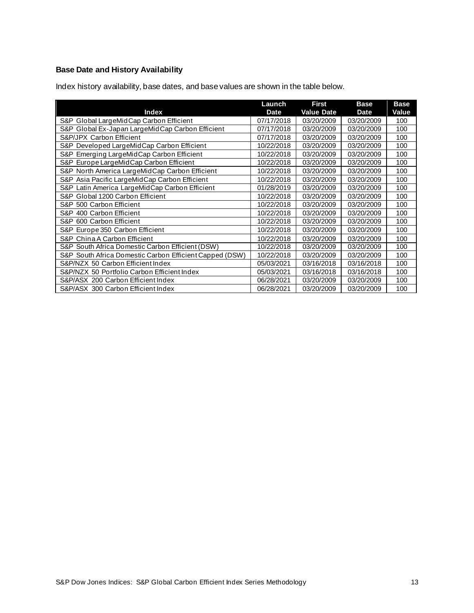## <span id="page-13-0"></span>**Base Date and History Availability**

| <b>Index</b>                                            | Launch<br><b>Date</b> | <b>First</b><br><b>Value Date</b> | <b>Base</b><br><b>Date</b> | <b>Base</b><br>Value |
|---------------------------------------------------------|-----------------------|-----------------------------------|----------------------------|----------------------|
| S&P Global LargeMidCap Carbon Efficient                 | 07/17/2018            | 03/20/2009                        | 03/20/2009                 | 100                  |
| S&P Global Ex-Japan LargeMidCap Carbon Efficient        | 07/17/2018            | 03/20/2009                        | 03/20/2009                 | 100                  |
| S&P/JPX Carbon Efficient                                | 07/17/2018            | 03/20/2009                        | 03/20/2009                 | 100                  |
| Developed LargeMidCap Carbon Efficient<br>S&P.          | 10/22/2018            | 03/20/2009                        | 03/20/2009                 | 100                  |
| S&P Emerging LargeMidCap Carbon Efficient               | 10/22/2018            | 03/20/2009                        | 03/20/2009                 | 100                  |
| S&P Europe LargeMidCap Carbon Efficient                 | 10/22/2018            | 03/20/2009                        | 03/20/2009                 | 100                  |
| S&P North America LargeMidCap Carbon Efficient          | 10/22/2018            | 03/20/2009                        | 03/20/2009                 | 100                  |
| S&P Asia Pacific LargeMidCap Carbon Efficient           | 10/22/2018            | 03/20/2009                        | 03/20/2009                 | 100                  |
| S&P Latin America LargeMidCap Carbon Efficient          | 01/28/2019            | 03/20/2009                        | 03/20/2009                 | 100                  |
| S&P Global 1200 Carbon Efficient                        | 10/22/2018            | 03/20/2009                        | 03/20/2009                 | 100                  |
| S&P 500 Carbon Efficient                                | 10/22/2018            | 03/20/2009                        | 03/20/2009                 | 100                  |
| S&P 400 Carbon Efficient                                | 10/22/2018            | 03/20/2009                        | 03/20/2009                 | 100                  |
| S&P 600 Carbon Efficient                                | 10/22/2018            | 03/20/2009                        | 03/20/2009                 | 100                  |
| S&P Europe 350 Carbon Efficient                         | 10/22/2018            | 03/20/2009                        | 03/20/2009                 | 100                  |
| S&P China A Carbon Efficient                            | 10/22/2018            | 03/20/2009                        | 03/20/2009                 | 100                  |
| S&P South Africa Domestic Carbon Efficient (DSW)        | 10/22/2018            | 03/20/2009                        | 03/20/2009                 | 100                  |
| S&P South Africa Domestic Carbon Efficient Capped (DSW) | 10/22/2018            | 03/20/2009                        | 03/20/2009                 | 100                  |
| S&P/NZX 50 Carbon Efficient Index                       | 05/03/2021            | 03/16/2018                        | 03/16/2018                 | 100                  |
| S&P/NZX 50 Portfolio Carbon Efficient Index             | 05/03/2021            | 03/16/2018                        | 03/16/2018                 | 100                  |
| S&P/ASX 200 Carbon Efficient Index                      | 06/28/2021            | 03/20/2009                        | 03/20/2009                 | 100                  |
| S&P/ASX 300 Carbon Efficient Index                      | 06/28/2021            | 03/20/2009                        | 03/20/2009                 | 100                  |

Index history availability, base dates, and base values are shown in the table below.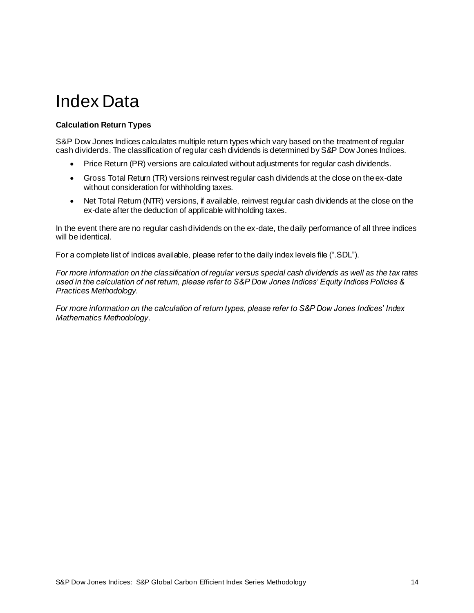## <span id="page-14-0"></span>Index Data

## <span id="page-14-1"></span>**Calculation Return Types**

S&P Dow Jones Indices calculates multiple return types which vary based on the treatment of regular cash dividends. The classification of regular cash dividends is determined by S&P Dow Jones Indices.

- Price Return (PR) versions are calculated without adjustments for regular cash dividends.
- Gross Total Return (TR) versions reinvest regular cash dividends at the close on the ex-date without consideration for withholding taxes.
- Net Total Return (NTR) versions, if available, reinvest regular cash dividends at the close on the ex-date after the deduction of applicable withholding taxes.

In the event there are no regular cash dividends on the ex-date, the daily performance of all three indices will be identical.

For a complete list of indices available, please refer to the daily index levels file (".SDL").

*For more information on the classification of regular versus special cash dividends as well as the tax rates used in the calculation of net return, please refer to S&P Dow Jones Indices' Equity Indices Policies & Practices Methodology*.

*For more information on the calculation of return types, please refer to S&P Dow Jones Indices' Index Mathematics Methodology*.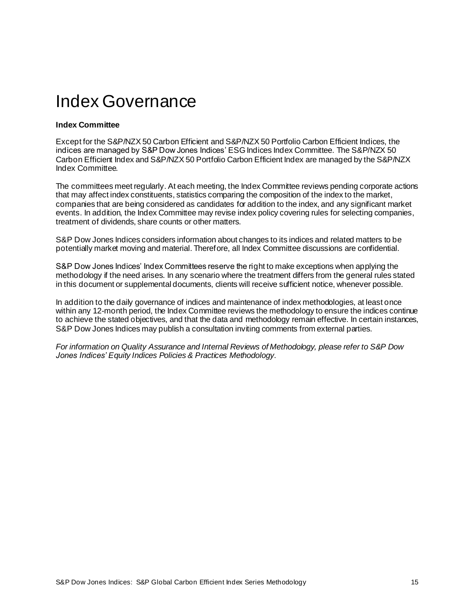## <span id="page-15-0"></span>Index Governance

### <span id="page-15-1"></span>**Index Committee**

Except for the S&P/NZX 50 Carbon Efficient and S&P/NZX 50 Portfolio Carbon Efficient Indices, the indices are managed by S&P Dow Jones Indices' ESG Indices Index Committee. The S&P/NZX 50 Carbon Efficient Index and S&P/NZX 50 Portfolio Carbon Efficient Index are managed by the S&P/NZX Index Committee.

The committees meet regularly. At each meeting, the Index Committee reviews pending corporate actions that may affect index constituents, statistics comparing the composition of the index to the market, companies that are being considered as candidates for addition to the index, and any significant market events. In addition, the Index Committee may revise index policy covering rules for selecting companies, treatment of dividends, share counts or other matters.

S&P Dow Jones Indices considers information about changes to its indices and related matters to be potentially market moving and material. Therefore, all Index Committee discussions are confidential.

S&P Dow Jones Indices' Index Committees reserve the right to make exceptions when applying the methodology if the need arises. In any scenario where the treatment differs from the general rules stated in this document or supplemental documents, clients will receive sufficient notice, whenever possible.

In addition to the daily governance of indices and maintenance of index methodologies, at least once within any 12-month period, the Index Committee reviews the methodology to ensure the indices continue to achieve the stated objectives, and that the data and methodology remain effective. In certain instances, S&P Dow Jones Indices may publish a consultation inviting comments from external parties.

*For information on Quality Assurance and Internal Reviews of Methodology, please refer to S&P Dow Jones Indices' Equity Indices Policies & Practices Methodology*.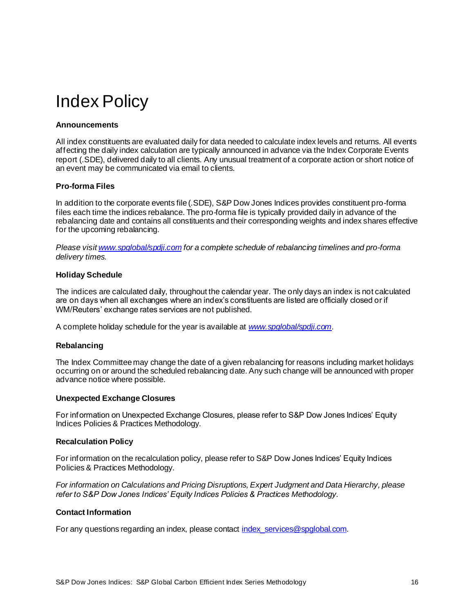## <span id="page-16-0"></span>Index Policy

## <span id="page-16-1"></span>**Announcements**

All index constituents are evaluated daily for data needed to calculate index levels and returns. All events affecting the daily index calculation are typically announced in advance via the Index Corporate Events report (.SDE), delivered daily to all clients. Any unusual treatment of a corporate action or short notice of an event may be communicated via email to clients.

## <span id="page-16-2"></span>**Pro-forma Files**

In addition to the corporate events file (.SDE), S&P Dow Jones Indices provides constituent pro-forma files each time the indices rebalance. The pro-forma file is typically provided daily in advance of the rebalancing date and contains all constituents and their corresponding weights and index shares effective for the upcoming rebalancing.

*Please visi[t www.spglobal/spdji.com](file:///C:/Users/marshall_ford/AppData/Local/Microsoft/Windows/Temporary%20Internet%20Files/Content.Outlook/09ZOXABH/www.spdji.com) for a complete schedule of rebalancing timelines and pro-forma delivery times.* 

## <span id="page-16-3"></span>**Holiday Schedule**

The indices are calculated daily, throughout the calendar year. The only days an index is not calculated are on days when all exchanges where an index's constituents are listed are officially closed or if WM/Reuters' exchange rates services are not published.

<span id="page-16-4"></span>A complete holiday schedule for the year is available at *[www.spglobal/spdji.com](file:///C:/Users/marshall_ford/AppData/Local/Microsoft/Windows/Temporary%20Internet%20Files/Content.Outlook/09ZOXABH/www.spdji.com)*.

### **Rebalancing**

The Index Committee may change the date of a given rebalancing for reasons including market holidays occurring on or around the scheduled rebalancing date. Any such change will be announced with proper advance notice where possible.

### <span id="page-16-5"></span>**Unexpected Exchange Closures**

For information on Unexpected Exchange Closures, please refer to S&P Dow Jones Indices' Equity Indices Policies & Practices Methodology.

### <span id="page-16-6"></span>**Recalculation Policy**

For information on the recalculation policy, please refer to S&P Dow Jones Indices' Equity Indices Policies & Practices Methodology.

*For information on Calculations and Pricing Disruptions, Expert Judgment and Data Hierarchy, please refer to S&P Dow Jones Indices' Equity Indices Policies & Practices Methodology*.

## <span id="page-16-7"></span>**Contact Information**

For any questions regarding an index, please contact index services@spglobal.com.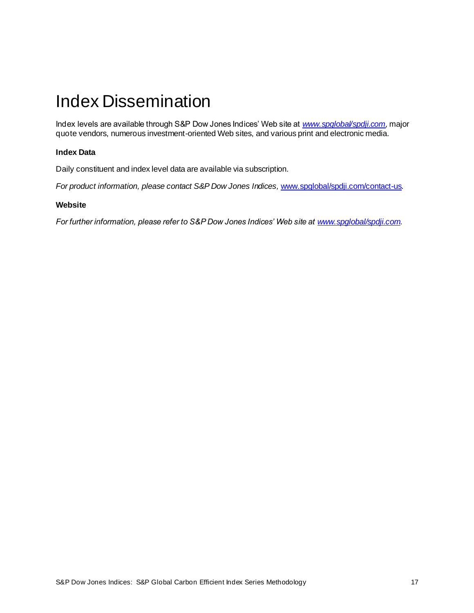## <span id="page-17-0"></span>Index Dissemination

Index levels are available through S&P Dow Jones Indices' Web site at *[www.spglobal/spdji.com](http://www.spdji.com/),* major quote vendors, numerous investment-oriented Web sites, and various print and electronic media.

## <span id="page-17-1"></span>**Index Data**

Daily constituent and index level data are available via subscription.

<span id="page-17-2"></span>*For product information, please contact S&P Dow Jones Indices,* [www.spglobal/spdji.com/contact-us](file:///C:/Users/marshall_ford/AppData/Local/Microsoft/Windows/Temporary%20Internet%20Files/Content.Outlook/09ZOXABH/www.spdji.com/contact-us)*.* 

## **Website**

*For further information, please refer to S&P Dow Jones Indices' Web site a[t www.spglobal/spdji.com](file:///C:/Users/marshall_ford/AppData/Local/Microsoft/Windows/Temporary%20Internet%20Files/Content.Outlook/09ZOXABH/www.spdji.com).*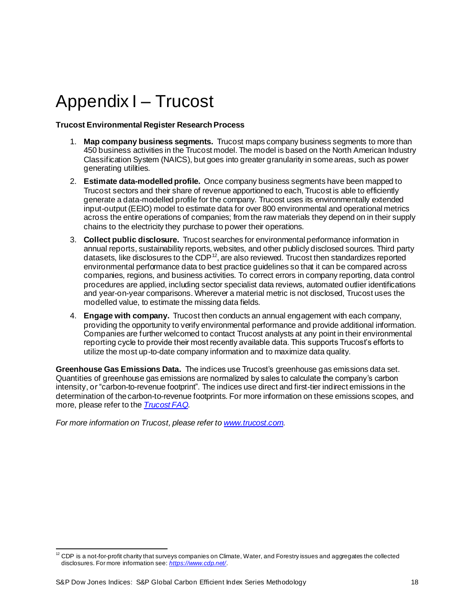## <span id="page-18-0"></span>Appendix I – Trucost

## <span id="page-18-1"></span>**Trucost Environmental Register Research Process**

- 1. **Map company business segments.** Trucost maps company business segments to more than 450 business activities in the Trucost model. The model is based on the North American Industry Classification System (NAICS), but goes into greater granularity in some areas, such as power generating utilities.
- 2. **Estimate data-modelled profile.** Once company business segments have been mapped to Trucost sectors and their share of revenue apportioned to each, Trucost is able to efficiently generate a data-modelled profile for the company. Trucost uses its environmentally extended input-output (EEIO) model to estimate data for over 800 environmental and operational metrics across the entire operations of companies; from the raw materials they depend on in their supply chains to the electricity they purchase to power their operations.
- 3. **Collect public disclosure.** Trucost searches for environmental performance information in annual reports, sustainability reports, websites, and other publicly disclosed sources. Third party datasets, like disclosures to the CDP $^{12}$ , are also reviewed. Trucost then standardizes reported environmental performance data to best practice guidelines so that it can be compared across companies, regions, and business activities. To correct errors in company reporting, data control procedures are applied, including sector specialist data reviews, automated outlier identifications and year-on-year comparisons. Wherever a material metric is not disclosed, Trucost uses the modelled value, to estimate the missing data fields.
- 4. **Engage with company.** Trucost then conducts an annual engagement with each company, providing the opportunity to verify environmental performance and provide additional information. Companies are further welcomed to contact Trucost analysts at any point in their environmental reporting cycle to provide their most recently available data. This supports Trucost's efforts to utilize the most up-to-date company information and to maximize data quality.

**Greenhouse Gas Emissions Data.** The indices use Trucost's greenhouse gas emissions data set. Quantities of greenhouse gas emissions are normalized by sales to calculate the company's carbon intensity, or "carbon-to-revenue footprint". The indices use direct and first-tier indirect emissions in the determination of the carbon-to-revenue footprints. For more information on these emissions scopes, and more, please refer to the *[Trucost FAQ](https://www.spglobal.com/spdji/en/documents/additional-material/faq-trucost.pdf)*.

*For more information on Trucost, please refer t[o www.trucost.com](http://www.trucost.com/).*

 $12$  CDP is a not-for-profit charity that surveys companies on Climate, Water, and Forestry issues and aggregates the collected disclosures. For more information see: *<https://www.cdp.net/>*.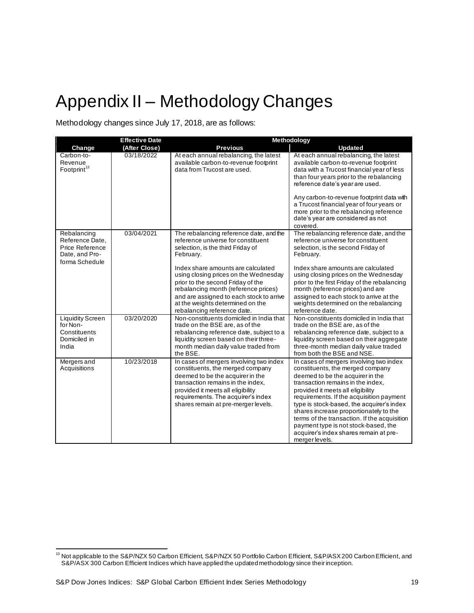## <span id="page-19-0"></span>Appendix II – Methodology Changes

Methodology changes since July 17, 2018, are as follows:

|                                                                                       | <b>Effective Date</b> | Methodology                                                                                                                                                                                                                                                             |                                                                                                                                                                                                                                                                                                                                                                                                                                                                                  |  |
|---------------------------------------------------------------------------------------|-----------------------|-------------------------------------------------------------------------------------------------------------------------------------------------------------------------------------------------------------------------------------------------------------------------|----------------------------------------------------------------------------------------------------------------------------------------------------------------------------------------------------------------------------------------------------------------------------------------------------------------------------------------------------------------------------------------------------------------------------------------------------------------------------------|--|
| Change                                                                                | (After Close)         | <b>Previous</b>                                                                                                                                                                                                                                                         | <b>Updated</b>                                                                                                                                                                                                                                                                                                                                                                                                                                                                   |  |
| Carbon-to-<br>Revenue<br>Footprint $^{13}$                                            | 03/18/2022            | At each annual rebalancing, the latest<br>available carbon-to-revenue footprint<br>data from Trucost are used.                                                                                                                                                          | At each annual rebalancing, the latest<br>available carbon-to-revenue footprint<br>data with a Trucost financial year of less<br>than four years prior to the rebalancing<br>reference date's year are used.                                                                                                                                                                                                                                                                     |  |
|                                                                                       |                       |                                                                                                                                                                                                                                                                         | Any carbon-to-revenue footprint data with<br>a Trucost financial year of four years or<br>more prior to the rebalancing reference                                                                                                                                                                                                                                                                                                                                                |  |
|                                                                                       |                       |                                                                                                                                                                                                                                                                         | date's year are considered as not<br>covered.                                                                                                                                                                                                                                                                                                                                                                                                                                    |  |
| Rebalancing<br>Reference Date,<br>Price Reference<br>Date, and Pro-<br>forma Schedule | 03/04/2021            | The rebalancing reference date, and the<br>reference universe for constituent<br>selection, is the third Friday of<br>February.                                                                                                                                         | The rebalancing reference date, and the<br>reference universe for constituent<br>selection, is the second Friday of<br>February.                                                                                                                                                                                                                                                                                                                                                 |  |
|                                                                                       |                       | Index share amounts are calculated<br>using closing prices on the Wednesday<br>prior to the second Friday of the<br>rebalancing month (reference prices)<br>and are assigned to each stock to arrive<br>at the weights determined on the<br>rebalancing reference date. | Index share amounts are calculated<br>using closing prices on the Wednesday<br>prior to the first Friday of the rebalancing<br>month (reference prices) and are<br>assigned to each stock to arrive at the<br>weights determined on the rebalancing<br>reference date.                                                                                                                                                                                                           |  |
| <b>Liquidity Screen</b><br>for Non-<br>Constituents<br>Domiciled in<br>India          | 03/20/2020            | Non-constituents domiciled in India that<br>trade on the BSE are, as of the<br>rebalancing reference date, subject to a<br>liquidity screen based on their three-<br>month median daily value traded from<br>the BSE.                                                   | Non-constituents domiciled in India that<br>trade on the BSE are, as of the<br>rebalancing reference date, subject to a<br>liquidity screen based on their aggregate<br>three-month median daily value traded<br>from both the BSE and NSE.                                                                                                                                                                                                                                      |  |
| Mergers and<br>Acquisitions                                                           | 10/23/2018            | In cases of mergers involving two index<br>constituents, the merged company<br>deemed to be the acquirer in the<br>transaction remains in the index,<br>provided it meets all eligibility<br>requirements. The acquirer's index<br>shares remain at pre-merger levels.  | In cases of mergers involving two index<br>constituents, the merged company<br>deemed to be the acquirer in the<br>transaction remains in the index,<br>provided it meets all eligibility<br>requirements. If the acquisition payment<br>type is stock-based, the acquirer's index<br>shares increase proportionately to the<br>terms of the transaction. If the acquisition<br>payment type is not stock-based, the<br>acquirer's index shares remain at pre-<br>merger levels. |  |

<sup>&</sup>lt;sup>13</sup> Not applicable to the S&P/NZX 50 Carbon Efficient, S&P/NZX 50 Portfolio Carbon Efficient, S&P/ASX 200 Carbon Efficient, and S&P/ASX 300 Carbon Efficient Indices which have applied the updated methodology since their inception.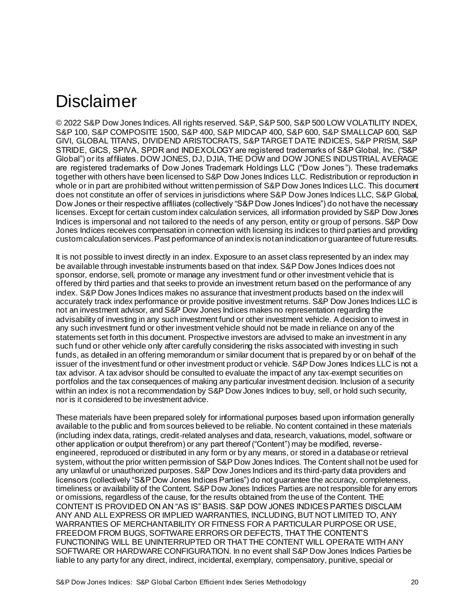## <span id="page-20-0"></span>Disclaimer

© 2022 S&P Dow Jones Indices. All rights reserved. S&P, S&P 500, S&P 500 LOW VOLATILITY INDEX, S&P 100, S&P COMPOSITE 1500, S&P 400, S&P MIDCAP 400, S&P 600, S&P SMALLCAP 600, S&P GIVI, GLOBAL TITANS, DIVIDEND ARISTOCRATS, S&P TARGET DATE INDICES, S&P PRISM, S&P STRIDE, GICS, SPIVA, SPDR and INDEXOLOGY are registered trademarks of S&P Global, Inc. ("S&P Global") or its affiliates. DOW JONES, DJ, DJIA, THE DOW and DOW JONES INDUSTRIAL AVERAGE are registered trademarks of Dow Jones Trademark Holdings LLC ("Dow Jones "). These trademarks together with others have been licensed to S&P Dow Jones Indices LLC. Redistribution or reproduction in whole or in part are prohibited without written permission of S&P Dow Jones Indices LLC. This document does not constitute an offer of services in jurisdictions where S&P Dow Jones Indices LLC, S&P Global, Dow Jones or their respective affiliates (collectively "S&P Dow Jones Indices") do not have the necessary licenses. Except for certain custom index calculation services, all information provided by S&P Dow Jones Indices is impersonal and not tailored to the needs of any person, entity or group of persons. S&P Dow Jones Indices receives compensation in connection with licensing its indices to third parties and providing custom calculation services. Past performance of an index is not an indication or guarantee of future results.

It is not possible to invest directly in an index. Exposure to an asset class represented by an index may be available through investable instruments based on that index. S&P Dow Jones Indices does not sponsor, endorse, sell, promote or manage any investment fund or other investment vehicle that is offered by third parties and that seeks to provide an investment return based on the performance of any index. S&P Dow Jones Indices makes no assurance that investment products based on the index will accurately track index performance or provide positive investment returns. S&P Dow Jones Indices LLC is not an investment advisor, and S&P Dow Jones Indices makes no representation regarding the advisability of investing in any such investment fund or other investment vehicle. A decision to invest in any such investment fund or other investment vehicle should not be made in reliance on any of the statements set forth in this document. Prospective investors are advised to make an investment in any such fund or other vehicle only after carefully considering the risks associated with investing in such funds, as detailed in an offering memorandum or similar document that is prepared by or on behalf of the issuer of the investment fund or other investment product or vehicle. S&P Dow Jones Indices LLC is not a tax advisor. A tax advisor should be consulted to evaluate the impact of any tax-exempt securities on portfolios and the tax consequences of making any particular investment decision. Inclusion of a security within an index is not a recommendation by S&P Dow Jones Indices to buy, sell, or hold such security, nor is it considered to be investment advice.

These materials have been prepared solely for informational purposes based upon information generally available to the public and from sources believed to be reliable. No content contained in these materials (including index data, ratings, credit-related analyses and data, research, valuations, model, software or other application or output therefrom) or any part thereof ("Content") may be modified, reverseengineered, reproduced or distributed in any form or by any means, or stored in a database or retrieval system, without the prior written permission of S&P Dow Jones Indices. The Content shall not be used for any unlawful or unauthorized purposes. S&P Dow Jones Indices and its third-party data providers and licensors (collectively "S&P Dow Jones Indices Parties") do not guarantee the accuracy, completeness, timeliness or availability of the Content. S&P Dow Jones Indices Parties are not responsible for any errors or omissions, regardless of the cause, for the results obtained from the use of the Content. THE CONTENT IS PROVIDED ON AN "AS IS" BASIS. S&P DOW JONES INDICES PARTIES DISCLAIM ANY AND ALL EXPRESS OR IMPLIED WARRANTIES, INCLUDING, BUT NOT LIMITED TO, ANY WARRANTIES OF MERCHANTABILITY OR FITNESS FOR A PARTICULAR PURPOSE OR USE, FREEDOM FROM BUGS, SOFTWARE ERRORS OR DEFECTS, THAT THE CONTENT'S FUNCTIONING WILL BE UNINTERRUPTED OR THAT THE CONTENT WILL OPERATE WITH ANY SOFTWARE OR HARDWARE CONFIGURATION. In no event shall S&P Dow Jones Indices Parties be liable to any party for any direct, indirect, incidental, exemplary, compensatory, punitive, special or